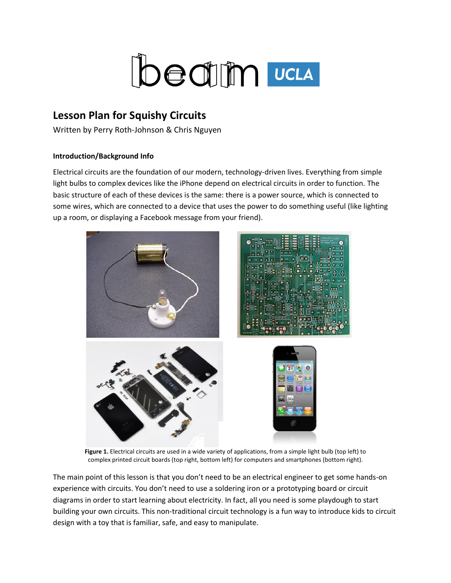

# **Lesson Plan for Squishy Circuits**

Written by Perry Roth-Johnson & Chris Nguyen

### **Introduction/Background Info**

Electrical circuits are the foundation of our modern, technology-driven lives. Everything from simple light bulbs to complex devices like the iPhone depend on electrical circuits in order to function. The basic structure of each of these devices is the same: there is a power source, which is connected to some wires, which are connected to a device that uses the power to do something useful (like lighting up a room, or displaying a Facebook message from your friend).



**Figure 1.** Electrical circuits are used in a wide variety of applications, from a simple light bulb (top left) to complex printed circuit boards (top right, bottom left) for computers and smartphones (bottom right).

The main point of this lesson is that you don't need to be an electrical engineer to get some hands-on experience with circuits. You don't need to use a soldering iron or a prototyping board or circuit diagrams in order to start learning about electricity. In fact, all you need is some playdough to start building your own circuits. This non-traditional circuit technology is a fun way to introduce kids to circuit design with a toy that is familiar, safe, and easy to manipulate.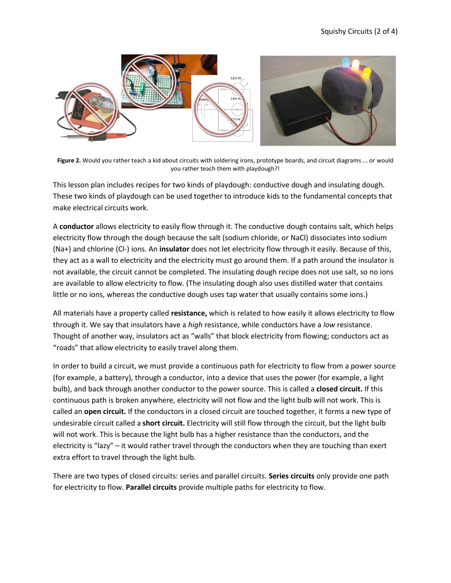

**Figure 2.** Would you rather teach a kid about circuits with soldering irons, prototype boards, and circuit diagrams ... or would you rather teach them with playdough?!

This lesson plan includes recipes for two kinds of playdough: conductive dough and insulating dough. These two kinds of playdough can be used together to introduce kids to the fundamental concepts that make electrical circuits work.

A **conductor** allows electricity to easily flow through it. The conductive dough contains salt, which helps electricity flow through the dough because the salt (sodium chloride, or NaCl) dissociates into sodium (Na+) and chlorine (Cl-) ions. An **insulator** does not let electricity flow through it easily. Because of this, they act as a wall to electricity and the electricity must go around them. If a path around the insulator is not available, the circuit cannot be completed. The insulating dough recipe does not use salt, so no ions are available to allow electricity to flow. (The insulating dough also uses distilled water that contains little or no ions, whereas the conductive dough uses tap water that usually contains some ions.)

All materials have a property called **resistance,** which is related to how easily it allows electricity to flow through it. We say that insulators have a *high* resistance, while conductors have a *low* resistance. Thought of another way, insulators act as "walls" that block electricity from flowing; conductors act as "roads" that allow electricity to easily travel along them.

In order to build a circuit, we must provide a continuous path for electricity to flow from a power source (for example, a battery), through a conductor, into a device that uses the power (for example, a light bulb), and back through another conductor to the power source. This is called a **closed circuit.** If this continuous path is broken anywhere, electricity will not flow and the light bulb will not work. This is called an **open circuit.** If the conductors in a closed circuit are touched together, it forms a new type of undesirable circuit called a **short circuit.** Electricity will still flow through the circuit, but the light bulb will not work. This is because the light bulb has a higher resistance than the conductors, and the electricity is "lazy" – it would rather travel through the conductors when they are touching than exert extra effort to travel through the light bulb.

There are two types of closed circuits: series and parallel circuits. **Series circuits** only provide one path for electricity to flow. **Parallel circuits** provide multiple paths for electricity to flow.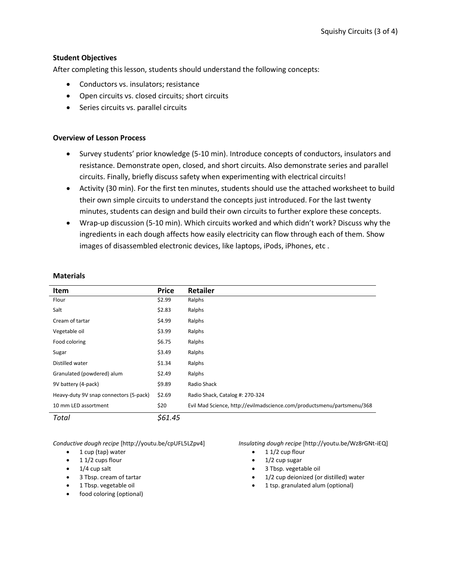### **Student Objectives**

After completing this lesson, students should understand the following concepts:

- Conductors vs. insulators; resistance
- Open circuits vs. closed circuits; short circuits
- Series circuits vs. parallel circuits

#### **Overview of Lesson Process**

- Survey students' prior knowledge (5-10 min). Introduce concepts of conductors, insulators and resistance. Demonstrate open, closed, and short circuits. Also demonstrate series and parallel circuits. Finally, briefly discuss safety when experimenting with electrical circuits!
- Activity (30 min). For the first ten minutes, students should use the attached worksheet to build their own simple circuits to understand the concepts just introduced. For the last twenty minutes, students can design and build their own circuits to further explore these concepts.
- Wrap-up discussion (5-10 min). Which circuits worked and which didn't work? Discuss why the ingredients in each dough affects how easily electricity can flow through each of them. Show images of disassembled electronic devices, like laptops, iPods, iPhones, etc .

#### **Materials**

| Item                                   | <b>Price</b> | Retailer                                                               |
|----------------------------------------|--------------|------------------------------------------------------------------------|
| Flour                                  | \$2.99       | Ralphs                                                                 |
| Salt                                   | \$2.83       | Ralphs                                                                 |
| Cream of tartar                        | \$4.99       | Ralphs                                                                 |
| Vegetable oil                          | \$3.99       | Ralphs                                                                 |
| Food coloring                          | \$6.75       | Ralphs                                                                 |
| Sugar                                  | \$3.49       | Ralphs                                                                 |
| Distilled water                        | \$1.34       | Ralphs                                                                 |
| Granulated (powdered) alum             | \$2.49       | Ralphs                                                                 |
| 9V battery (4-pack)                    | \$9.89       | Radio Shack                                                            |
| Heavy-duty 9V snap connectors (5-pack) | \$2.69       | Radio Shack, Catalog #: 270-324                                        |
| 10 mm LED assortment                   | \$20         | Evil Mad Science, http://evilmadscience.com/productsmenu/partsmenu/368 |
| Total                                  | \$61.45      |                                                                        |

*Conductive dough recipe* [http://youtu.be/cpUFL5LZpv4]

- $\bullet$  1 cup (tap) water
- $\bullet$  1 1/2 cups flour
- $\bullet$  1/4 cup salt
- 3 Tbsp. cream of tartar
- 1 Tbsp. vegetable oil
- food coloring (optional)

*Insulating dough recipe* [http://youtu.be/Wz8rGNt-iEQ]

- $\bullet$  1 1/2 cup flour
- 1/2 cup sugar
- 3 Tbsp. vegetable oil
- 1/2 cup deionized (or distilled) water
- 1 tsp. granulated alum (optional)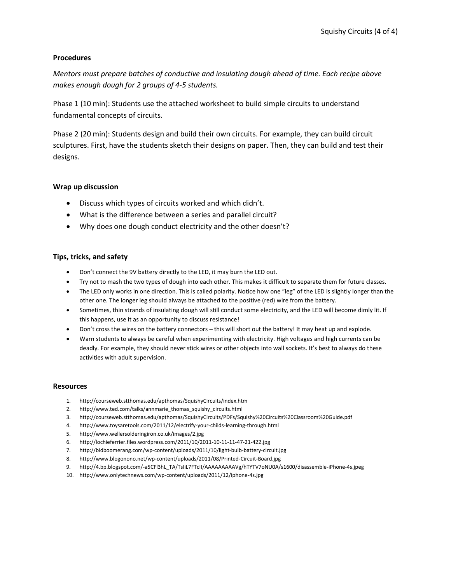#### **Procedures**

*Mentors must prepare batches of conductive and insulating dough ahead of time. Each recipe above makes enough dough for 2 groups of 4-5 students.*

Phase 1 (10 min): Students use the attached worksheet to build simple circuits to understand fundamental concepts of circuits.

Phase 2 (20 min): Students design and build their own circuits. For example, they can build circuit sculptures. First, have the students sketch their designs on paper. Then, they can build and test their designs.

#### **Wrap up discussion**

- Discuss which types of circuits worked and which didn't.
- What is the difference between a series and parallel circuit?
- Why does one dough conduct electricity and the other doesn't?

### **Tips, tricks, and safety**

- Don't connect the 9V battery directly to the LED, it may burn the LED out.
- Try not to mash the two types of dough into each other. This makes it difficult to separate them for future classes.
- The LED only works in one direction. This is called polarity. Notice how one "leg" of the LED is slightly longer than the other one. The longer leg should always be attached to the positive (red) wire from the battery.
- Sometimes, thin strands of insulating dough will still conduct some electricity, and the LED will become dimly lit. If this happens, use it as an opportunity to discuss resistance!
- Don't cross the wires on the battery connectors this will short out the battery! It may heat up and explode.
- Warn students to always be careful when experimenting with electricity. High voltages and high currents can be deadly. For example, they should never stick wires or other objects into wall sockets. It's best to always do these activities with adult supervision.

#### **Resources**

- 1. http://courseweb.stthomas.edu/apthomas/SquishyCircuits/index.htm
- 2. http://www.ted.com/talks/annmarie\_thomas\_squishy\_circuits.html
- 3. http://courseweb.stthomas.edu/apthomas/SquishyCircuits/PDFs/Squishy%20Circuits%20Classroom%20Guide.pdf
- 4. http://www.toysaretools.com/2011/12/electrify-your-childs-learning-through.html
- 5. http://www.wellersolderingiron.co.uk/images/2.jpg
- 6. http://lochieferrier.files.wordpress.com/2011/10/2011-10-11-11-47-21-422.jpg
- 7. http://bidboomerang.com/wp-content/uploads/2011/10/light-bulb-battery-circuit.jpg
- 8. http://www.blogonono.net/wp-content/uploads/2011/08/Printed-Circuit-Board.jpg
- 9. http://4.bp.blogspot.com/-a5CFl3hL\_TA/TsIiL7FTcII/AAAAAAAAAVg/hTYTV7oNU0A/s1600/disassemble-iPhone-4s.jpeg
- 10. http://www.onlytechnews.com/wp-content/uploads/2011/12/iphone-4s.jpg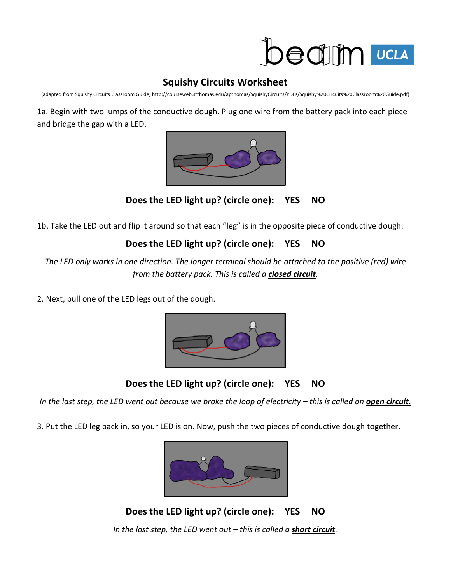

## **Squishy Circuits Worksheet**

(adapted from Squishy Circuits Classroom Guide, http://courseweb.stthomas.edu/apthomas/SquishyCircuits/PDFs/Squishy%20Circuits%20Classroom%20Guide.pdf)

1a. Begin with two lumps of the conductive dough. Plug one wire from the battery pack into each piece and bridge the gap with a LED.



**Does the LED light up? (circle one): YES NO**

1b. Take the LED out and flip it around so that each "leg" is in the opposite piece of conductive dough.

## **Does the LED light up? (circle one): YES NO**

*The LED only works in one direction. The longer terminal should be attached to the positive (red) wire from the battery pack. This is called a closed circuit.*

2. Next, pull one of the LED legs out of the dough.



**Does the LED light up? (circle one): YES NO**

In the last step, the LED went out because we broke the loop of electricity – this is called an **open circuit.** 

3. Put the LED leg back in, so your LED is on. Now, push the two pieces of conductive dough together.



**Does the LED light up? (circle one): YES NO** *In the last step, the LED went out – this is called a short circuit.*